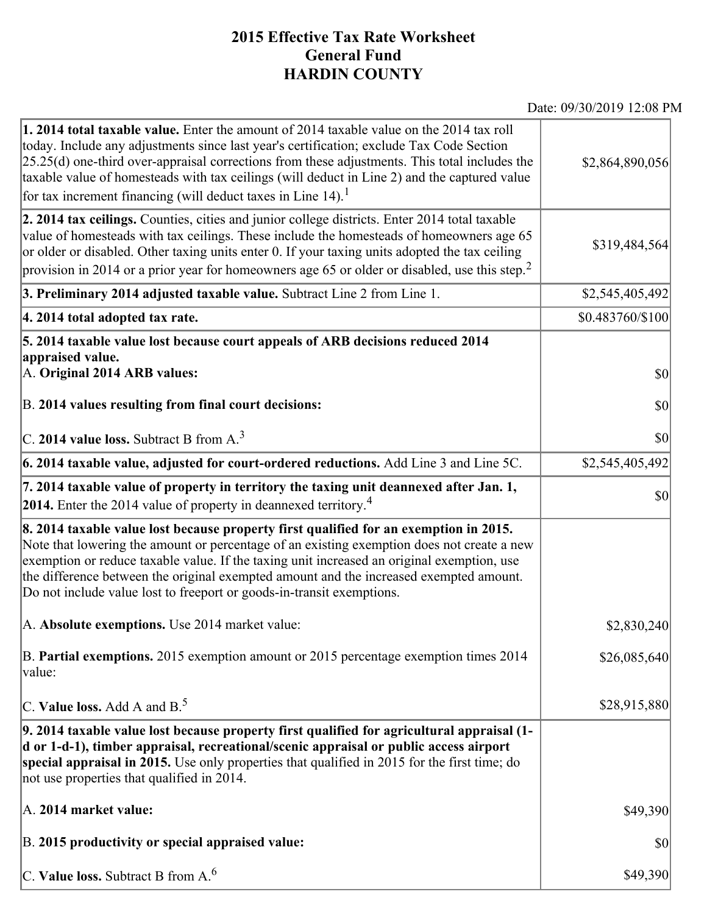## **2015 Effective Tax Rate Worksheet General Fund HARDIN COUNTY**

Date: 09/30/2019 12:08 PM

| <b>1. 2014 total taxable value.</b> Enter the amount of 2014 taxable value on the 2014 tax roll<br>today. Include any adjustments since last year's certification; exclude Tax Code Section<br>$[25.25(d)$ one-third over-appraisal corrections from these adjustments. This total includes the<br>taxable value of homesteads with tax ceilings (will deduct in Line 2) and the captured value<br>for tax increment financing (will deduct taxes in Line $14$ ). <sup>1</sup> | \$2,864,890,056  |
|--------------------------------------------------------------------------------------------------------------------------------------------------------------------------------------------------------------------------------------------------------------------------------------------------------------------------------------------------------------------------------------------------------------------------------------------------------------------------------|------------------|
| 2. 2014 tax ceilings. Counties, cities and junior college districts. Enter 2014 total taxable<br>value of homesteads with tax ceilings. These include the homesteads of homeowners age 65<br>or older or disabled. Other taxing units enter 0. If your taxing units adopted the tax ceiling<br>provision in 2014 or a prior year for homeowners age 65 or older or disabled, use this step. <sup>2</sup>                                                                       | \$319,484,564    |
| 3. Preliminary 2014 adjusted taxable value. Subtract Line 2 from Line 1.                                                                                                                                                                                                                                                                                                                                                                                                       | \$2,545,405,492  |
| 4. 2014 total adopted tax rate.                                                                                                                                                                                                                                                                                                                                                                                                                                                | \$0.483760/\$100 |
| 5. 2014 taxable value lost because court appeals of ARB decisions reduced 2014<br>appraised value.                                                                                                                                                                                                                                                                                                                                                                             |                  |
| A. Original 2014 ARB values:                                                                                                                                                                                                                                                                                                                                                                                                                                                   | $ 10\rangle$     |
| B. 2014 values resulting from final court decisions:                                                                                                                                                                                                                                                                                                                                                                                                                           | \$0              |
| C. 2014 value loss. Subtract B from $A3$                                                                                                                                                                                                                                                                                                                                                                                                                                       | $ 10\rangle$     |
| 6. 2014 taxable value, adjusted for court-ordered reductions. Add Line 3 and Line 5C.                                                                                                                                                                                                                                                                                                                                                                                          | \$2,545,405,492  |
| 7. 2014 taxable value of property in territory the taxing unit deannexed after Jan. 1,<br><b>2014.</b> Enter the 2014 value of property in deannexed territory. <sup>4</sup>                                                                                                                                                                                                                                                                                                   | $ 10\rangle$     |
| 8. 2014 taxable value lost because property first qualified for an exemption in 2015.<br>Note that lowering the amount or percentage of an existing exemption does not create a new<br>exemption or reduce taxable value. If the taxing unit increased an original exemption, use<br>the difference between the original exempted amount and the increased exempted amount.<br>Do not include value lost to freeport or goods-in-transit exemptions.                           |                  |
| A. Absolute exemptions. Use 2014 market value:                                                                                                                                                                                                                                                                                                                                                                                                                                 | \$2,830,240      |
| B. Partial exemptions. 2015 exemption amount or 2015 percentage exemption times 2014<br>value:                                                                                                                                                                                                                                                                                                                                                                                 | \$26,085,640]    |
| C. Value loss. Add A and $B^5$                                                                                                                                                                                                                                                                                                                                                                                                                                                 | \$28,915,880     |
| 9. 2014 taxable value lost because property first qualified for agricultural appraisal (1-<br>d or 1-d-1), timber appraisal, recreational/scenic appraisal or public access airport<br>special appraisal in 2015. Use only properties that qualified in 2015 for the first time; do<br>not use properties that qualified in 2014.                                                                                                                                              |                  |
| A. 2014 market value:                                                                                                                                                                                                                                                                                                                                                                                                                                                          | \$49,390         |
| B. 2015 productivity or special appraised value:                                                                                                                                                                                                                                                                                                                                                                                                                               | \$0              |
| C. Value loss. Subtract B from $A6$                                                                                                                                                                                                                                                                                                                                                                                                                                            | \$49,390         |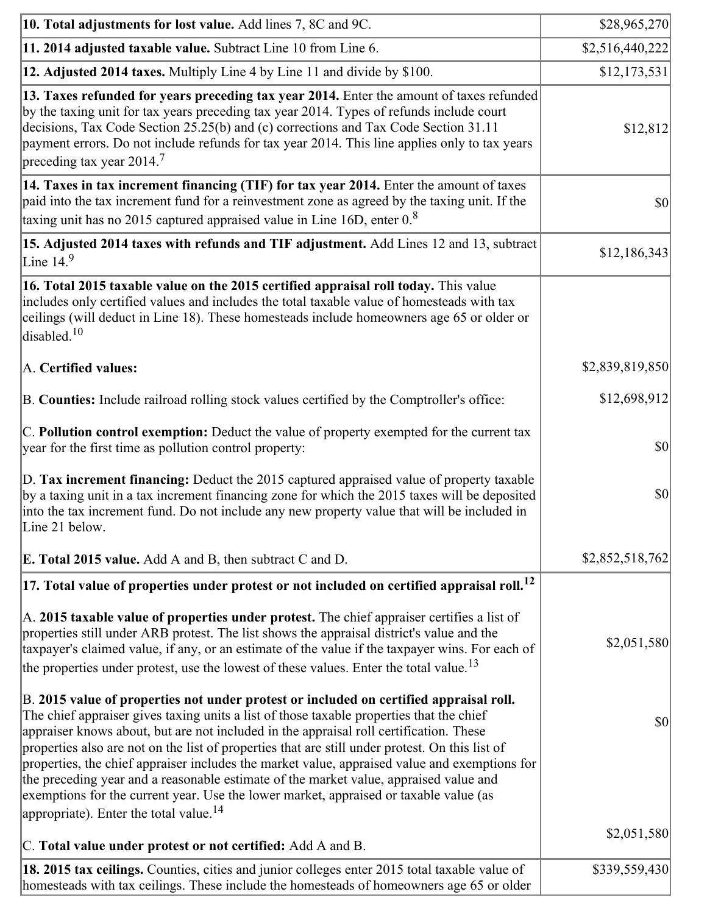| 10. Total adjustments for lost value. Add lines 7, 8C and 9C.                                                                                                                                                                                                                                                                                                                                                                                                                                                                                                                                                                                                                                                                                                                           | \$28,965,270       |
|-----------------------------------------------------------------------------------------------------------------------------------------------------------------------------------------------------------------------------------------------------------------------------------------------------------------------------------------------------------------------------------------------------------------------------------------------------------------------------------------------------------------------------------------------------------------------------------------------------------------------------------------------------------------------------------------------------------------------------------------------------------------------------------------|--------------------|
| 11. 2014 adjusted taxable value. Subtract Line 10 from Line 6.                                                                                                                                                                                                                                                                                                                                                                                                                                                                                                                                                                                                                                                                                                                          | \$2,516,440,222    |
| 12. Adjusted 2014 taxes. Multiply Line 4 by Line 11 and divide by \$100.                                                                                                                                                                                                                                                                                                                                                                                                                                                                                                                                                                                                                                                                                                                | \$12,173,531       |
| 13. Taxes refunded for years preceding tax year 2014. Enter the amount of taxes refunded<br>by the taxing unit for tax years preceding tax year 2014. Types of refunds include court<br>decisions, Tax Code Section 25.25(b) and (c) corrections and Tax Code Section 31.11<br>payment errors. Do not include refunds for tax year 2014. This line applies only to tax years<br>preceding tax year 2014. <sup>7</sup>                                                                                                                                                                                                                                                                                                                                                                   | \$12,812           |
| 14. Taxes in tax increment financing (TIF) for tax year 2014. Enter the amount of taxes<br>paid into the tax increment fund for a reinvestment zone as agreed by the taxing unit. If the<br>taxing unit has no 2015 captured appraised value in Line 16D, enter $0.8$                                                                                                                                                                                                                                                                                                                                                                                                                                                                                                                   | $ 10\rangle$       |
| 15. Adjusted 2014 taxes with refunds and TIF adjustment. Add Lines 12 and 13, subtract<br>Line $149$                                                                                                                                                                                                                                                                                                                                                                                                                                                                                                                                                                                                                                                                                    | \$12,186,343       |
| 16. Total 2015 taxable value on the 2015 certified appraisal roll today. This value<br>includes only certified values and includes the total taxable value of homesteads with tax<br>ceilings (will deduct in Line 18). These homesteads include homeowners age 65 or older or<br>disabled. <sup>10</sup>                                                                                                                                                                                                                                                                                                                                                                                                                                                                               |                    |
| A. Certified values:                                                                                                                                                                                                                                                                                                                                                                                                                                                                                                                                                                                                                                                                                                                                                                    | \$2,839,819,850    |
| B. Counties: Include railroad rolling stock values certified by the Comptroller's office:                                                                                                                                                                                                                                                                                                                                                                                                                                                                                                                                                                                                                                                                                               | \$12,698,912       |
| $ C$ . Pollution control exemption: Deduct the value of property exempted for the current tax<br>year for the first time as pollution control property:                                                                                                                                                                                                                                                                                                                                                                                                                                                                                                                                                                                                                                 | $ 10\rangle$       |
| D. Tax increment financing: Deduct the 2015 captured appraised value of property taxable<br>by a taxing unit in a tax increment financing zone for which the 2015 taxes will be deposited<br>into the tax increment fund. Do not include any new property value that will be included in<br>Line 21 below.                                                                                                                                                                                                                                                                                                                                                                                                                                                                              | $ 10\rangle$       |
| <b>E. Total 2015 value.</b> Add A and B, then subtract C and D.                                                                                                                                                                                                                                                                                                                                                                                                                                                                                                                                                                                                                                                                                                                         | \$2,852,518,762    |
| $ 17.$ Total value of properties under protest or not included on certified appraisal roll. $^{12}$                                                                                                                                                                                                                                                                                                                                                                                                                                                                                                                                                                                                                                                                                     |                    |
| A. 2015 taxable value of properties under protest. The chief appraiser certifies a list of<br>properties still under ARB protest. The list shows the appraisal district's value and the<br>taxpayer's claimed value, if any, or an estimate of the value if the taxpayer wins. For each of<br>the properties under protest, use the lowest of these values. Enter the total value. <sup>13</sup>                                                                                                                                                                                                                                                                                                                                                                                        | \$2,051,580        |
| B. 2015 value of properties not under protest or included on certified appraisal roll.<br>The chief appraiser gives taxing units a list of those taxable properties that the chief<br>appraiser knows about, but are not included in the appraisal roll certification. These<br>properties also are not on the list of properties that are still under protest. On this list of<br>properties, the chief appraiser includes the market value, appraised value and exemptions for<br>the preceding year and a reasonable estimate of the market value, appraised value and<br>exemptions for the current year. Use the lower market, appraised or taxable value (as<br>appropriate). Enter the total value. <sup>14</sup><br>C. Total value under protest or not certified: Add A and B. | \$0<br>\$2,051,580 |
| 18. 2015 tax ceilings. Counties, cities and junior colleges enter 2015 total taxable value of                                                                                                                                                                                                                                                                                                                                                                                                                                                                                                                                                                                                                                                                                           | \$339,559,430      |
| homesteads with tax ceilings. These include the homesteads of homeowners age 65 or older                                                                                                                                                                                                                                                                                                                                                                                                                                                                                                                                                                                                                                                                                                |                    |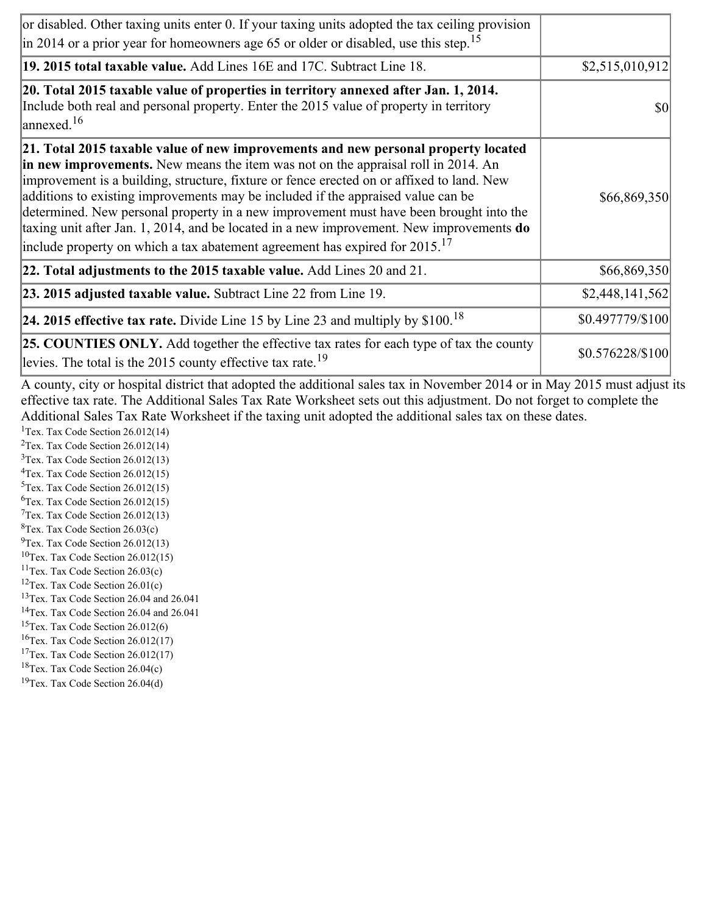| or disabled. Other taxing units enter 0. If your taxing units adopted the tax ceiling provision<br>$\vert$ in 2014 or a prior year for homeowners age 65 or older or disabled, use this step. <sup>15</sup>                                                                                                                                                                                                                                                                                                                                                                                                                                         |                  |
|-----------------------------------------------------------------------------------------------------------------------------------------------------------------------------------------------------------------------------------------------------------------------------------------------------------------------------------------------------------------------------------------------------------------------------------------------------------------------------------------------------------------------------------------------------------------------------------------------------------------------------------------------------|------------------|
| 19. 2015 total taxable value. Add Lines 16E and 17C. Subtract Line 18.                                                                                                                                                                                                                                                                                                                                                                                                                                                                                                                                                                              | \$2,515,010,912  |
| 20. Total 2015 taxable value of properties in territory annexed after Jan. 1, 2014.<br>Include both real and personal property. Enter the 2015 value of property in territory<br>$\frac{16}{2}$                                                                                                                                                                                                                                                                                                                                                                                                                                                     | <b>\$0</b>       |
| 21. Total 2015 taxable value of new improvements and new personal property located<br>in new improvements. New means the item was not on the appraisal roll in 2014. An<br>improvement is a building, structure, fixture or fence erected on or affixed to land. New<br>additions to existing improvements may be included if the appraised value can be<br>determined. New personal property in a new improvement must have been brought into the<br>taxing unit after Jan. 1, 2014, and be located in a new improvement. New improvements <b>do</b><br>include property on which a tax abatement agreement has expired for $2015$ . <sup>17</sup> | \$66,869,350     |
| 22. Total adjustments to the 2015 taxable value. Add Lines 20 and 21.                                                                                                                                                                                                                                                                                                                                                                                                                                                                                                                                                                               | \$66,869,350     |
| <b>23. 2015 adjusted taxable value.</b> Subtract Line 22 from Line 19.                                                                                                                                                                                                                                                                                                                                                                                                                                                                                                                                                                              | \$2,448,141,562  |
| <b>24. 2015 effective tax rate.</b> Divide Line 15 by Line 23 and multiply by $$100$ . <sup>18</sup>                                                                                                                                                                                                                                                                                                                                                                                                                                                                                                                                                | \$0.497779/\$100 |
| <b>25. COUNTIES ONLY.</b> Add together the effective tax rates for each type of tax the county<br>levies. The total is the 2015 county effective tax rate. <sup>19</sup>                                                                                                                                                                                                                                                                                                                                                                                                                                                                            | \$0.576228/\$100 |

A county, city or hospital district that adopted the additional sales tax in November 2014 or in May 2015 must adjust its effective tax rate. The Additional Sales Tax Rate Worksheet sets out this adjustment. Do not forget to complete the Additional Sales Tax Rate Worksheet if the taxing unit adopted the additional sales tax on these dates.

<sup>1</sup>Tex. Tax Code Section  $26.012(14)$ <sup>2</sup>Tex. Tax Code Section  $26.012(14)$  $3$ Tex. Tax Code Section 26.012(13)  ${}^{4}$ Tex. Tax Code Section 26.012(15)  $5$ Tex. Tax Code Section 26.012(15) <sup>6</sup>Tex. Tax Code Section 26.012(15)  $7$ Tex. Tax Code Section 26.012(13)  ${}^{8}$ Tex. Tax Code Section 26.03(c)

- $^{9}$ Tex. Tax Code Section 26.012(13)  $10$ Tex. Tax Code Section 26.012(15)
- <sup>11</sup>Tex. Tax Code Section  $26.03(c)$
- <sup>12</sup>Tex. Tax Code Section  $26.01(c)$
- <sup>13</sup>Tex. Tax Code Section 26.04 and 26.041
- <sup>14</sup>Tex. Tax Code Section 26.04 and 26.041
- $15$ Tex. Tax Code Section 26.012(6)
- <sup>16</sup>Tex. Tax Code Section  $26.012(17)$
- <sup>17</sup>Tex. Tax Code Section  $26.012(17)$
- ${}^{18}$ Tex. Tax Code Section 26.04(c)
- <sup>19</sup>Tex. Tax Code Section 26.04(d)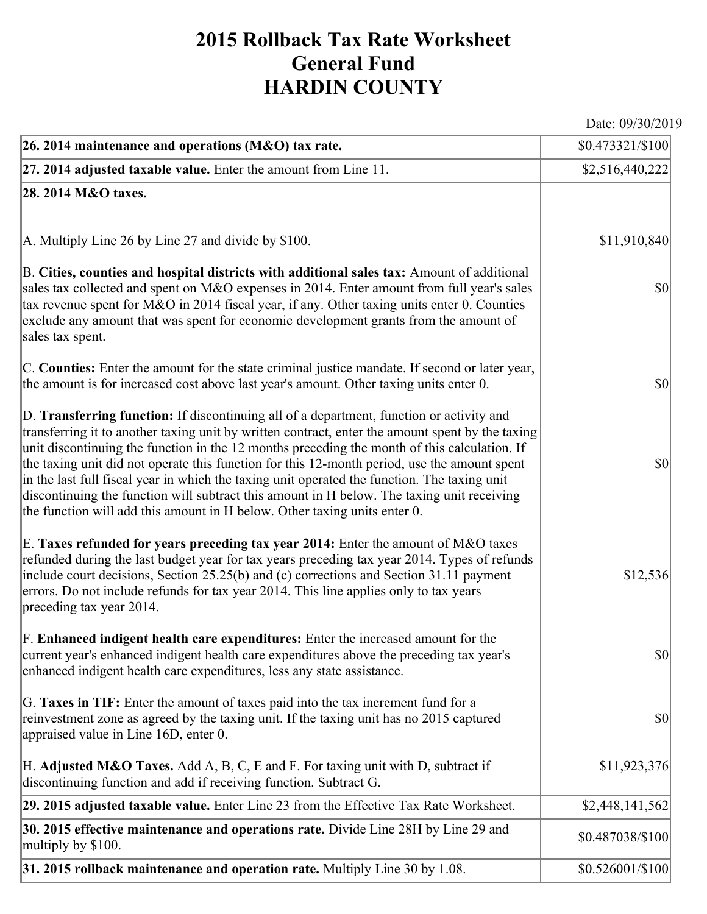## **2015 Rollback Tax Rate Worksheet General Fund HARDIN COUNTY**

Date: 09/30/2019

| 26. 2014 maintenance and operations (M&O) tax rate.                                                                                                                                                                                                                                                                                                                                                                                                                                                                                                                                                                                                                     | \$0.473321/\$100 |
|-------------------------------------------------------------------------------------------------------------------------------------------------------------------------------------------------------------------------------------------------------------------------------------------------------------------------------------------------------------------------------------------------------------------------------------------------------------------------------------------------------------------------------------------------------------------------------------------------------------------------------------------------------------------------|------------------|
| $ 27.2014$ adjusted taxable value. Enter the amount from Line 11.                                                                                                                                                                                                                                                                                                                                                                                                                                                                                                                                                                                                       | \$2,516,440,222  |
| 28. 2014 M&O taxes.                                                                                                                                                                                                                                                                                                                                                                                                                                                                                                                                                                                                                                                     |                  |
|                                                                                                                                                                                                                                                                                                                                                                                                                                                                                                                                                                                                                                                                         |                  |
| A. Multiply Line 26 by Line 27 and divide by \$100.                                                                                                                                                                                                                                                                                                                                                                                                                                                                                                                                                                                                                     | \$11,910,840     |
| B. Cities, counties and hospital districts with additional sales tax: Amount of additional<br>sales tax collected and spent on M&O expenses in 2014. Enter amount from full year's sales<br>tax revenue spent for M&O in 2014 fiscal year, if any. Other taxing units enter 0. Counties<br>exclude any amount that was spent for economic development grants from the amount of<br>sales tax spent.                                                                                                                                                                                                                                                                     | $ 10\rangle$     |
| C. Counties: Enter the amount for the state criminal justice mandate. If second or later year,<br>the amount is for increased cost above last year's amount. Other taxing units enter 0.                                                                                                                                                                                                                                                                                                                                                                                                                                                                                | $ 10\rangle$     |
| D. Transferring function: If discontinuing all of a department, function or activity and<br>transferring it to another taxing unit by written contract, enter the amount spent by the taxing<br>unit discontinuing the function in the 12 months preceding the month of this calculation. If<br>the taxing unit did not operate this function for this 12-month period, use the amount spent<br>in the last full fiscal year in which the taxing unit operated the function. The taxing unit<br>discontinuing the function will subtract this amount in H below. The taxing unit receiving<br>the function will add this amount in H below. Other taxing units enter 0. | $ 10\rangle$     |
| E. Taxes refunded for years preceding tax year 2014: Enter the amount of M&O taxes<br>refunded during the last budget year for tax years preceding tax year 2014. Types of refunds<br>include court decisions, Section 25.25(b) and (c) corrections and Section 31.11 payment<br>errors. Do not include refunds for tax year 2014. This line applies only to tax years<br>preceding tax year 2014.                                                                                                                                                                                                                                                                      | \$12,536         |
| $\vert$ F. Enhanced indigent health care expenditures: Enter the increased amount for the<br>current year's enhanced indigent health care expenditures above the preceding tax year's<br>enhanced indigent health care expenditures, less any state assistance.                                                                                                                                                                                                                                                                                                                                                                                                         | $ 10\rangle$     |
| G. Taxes in TIF: Enter the amount of taxes paid into the tax increment fund for a<br>reinvestment zone as agreed by the taxing unit. If the taxing unit has no 2015 captured<br>appraised value in Line 16D, enter 0.                                                                                                                                                                                                                                                                                                                                                                                                                                                   | $ 10\rangle$     |
| H. Adjusted M&O Taxes. Add A, B, C, E and F. For taxing unit with D, subtract if<br>discontinuing function and add if receiving function. Subtract G.                                                                                                                                                                                                                                                                                                                                                                                                                                                                                                                   | \$11,923,376     |
| 29. 2015 adjusted taxable value. Enter Line 23 from the Effective Tax Rate Worksheet.                                                                                                                                                                                                                                                                                                                                                                                                                                                                                                                                                                                   | \$2,448,141,562  |
| 30. 2015 effective maintenance and operations rate. Divide Line 28H by Line 29 and<br>multiply by \$100.                                                                                                                                                                                                                                                                                                                                                                                                                                                                                                                                                                | \$0.487038/\$100 |
| 31. 2015 rollback maintenance and operation rate. Multiply Line 30 by 1.08.                                                                                                                                                                                                                                                                                                                                                                                                                                                                                                                                                                                             | \$0.526001/\$100 |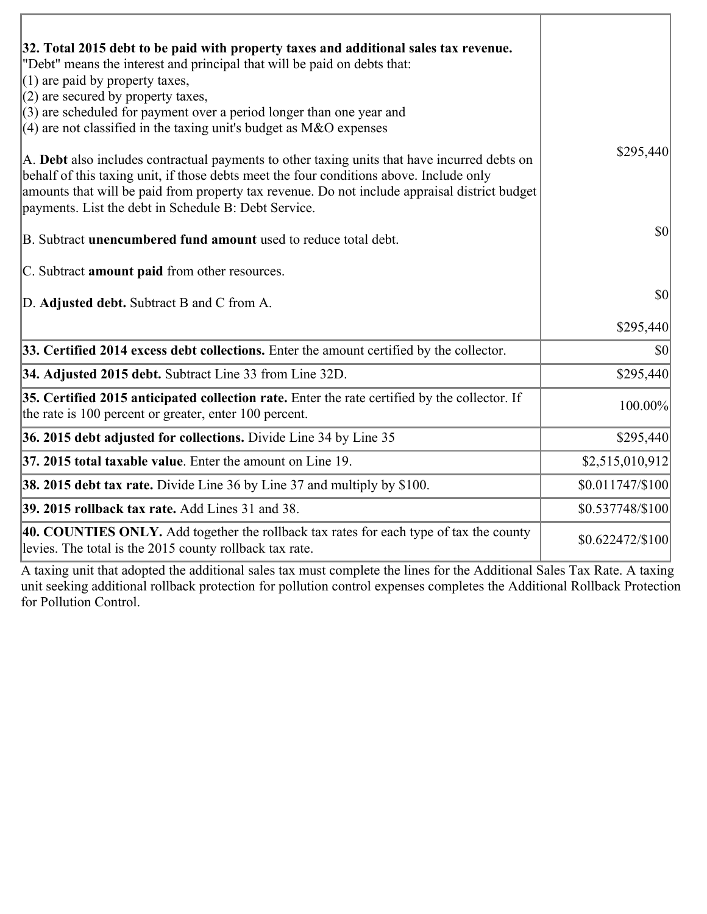| 32. Total 2015 debt to be paid with property taxes and additional sales tax revenue.<br>"Debt" means the interest and principal that will be paid on debts that:<br>$(1)$ are paid by property taxes,                                                                                                                                            |                  |
|--------------------------------------------------------------------------------------------------------------------------------------------------------------------------------------------------------------------------------------------------------------------------------------------------------------------------------------------------|------------------|
| $(2)$ are secured by property taxes,<br>$(3)$ are scheduled for payment over a period longer than one year and<br>(4) are not classified in the taxing unit's budget as $M&O$ expenses                                                                                                                                                           |                  |
| A. Debt also includes contractual payments to other taxing units that have incurred debts on<br>behalf of this taxing unit, if those debts meet the four conditions above. Include only<br>amounts that will be paid from property tax revenue. Do not include appraisal district budget<br>payments. List the debt in Schedule B: Debt Service. | \$295,440        |
| B. Subtract unencumbered fund amount used to reduce total debt.                                                                                                                                                                                                                                                                                  | \$0              |
| C. Subtract <b>amount paid</b> from other resources.                                                                                                                                                                                                                                                                                             |                  |
| D. Adjusted debt. Subtract B and C from A.                                                                                                                                                                                                                                                                                                       | \$0              |
|                                                                                                                                                                                                                                                                                                                                                  | \$295,440        |
| 33. Certified 2014 excess debt collections. Enter the amount certified by the collector.                                                                                                                                                                                                                                                         | \$0              |
| 34. Adjusted 2015 debt. Subtract Line 33 from Line 32D.                                                                                                                                                                                                                                                                                          | \$295,440        |
| 35. Certified 2015 anticipated collection rate. Enter the rate certified by the collector. If<br>the rate is 100 percent or greater, enter 100 percent.                                                                                                                                                                                          | 100.00%          |
| 36. 2015 debt adjusted for collections. Divide Line 34 by Line 35                                                                                                                                                                                                                                                                                | \$295,440        |
| $ 37, 2015$ total taxable value. Enter the amount on Line 19.                                                                                                                                                                                                                                                                                    | \$2,515,010,912  |
| <b>38. 2015 debt tax rate.</b> Divide Line 36 by Line 37 and multiply by \$100.                                                                                                                                                                                                                                                                  | \$0.011747/\$100 |
| 39. 2015 rollback tax rate. Add Lines 31 and 38.                                                                                                                                                                                                                                                                                                 | \$0.537748/\$100 |
| 40. COUNTIES ONLY. Add together the rollback tax rates for each type of tax the county<br>levies. The total is the 2015 county rollback tax rate.                                                                                                                                                                                                | \$0.622472/\$100 |

A taxing unit that adopted the additional sales tax must complete the lines for the Additional Sales Tax Rate. A taxing unit seeking additional rollback protection for pollution control expenses completes the Additional Rollback Protection for Pollution Control.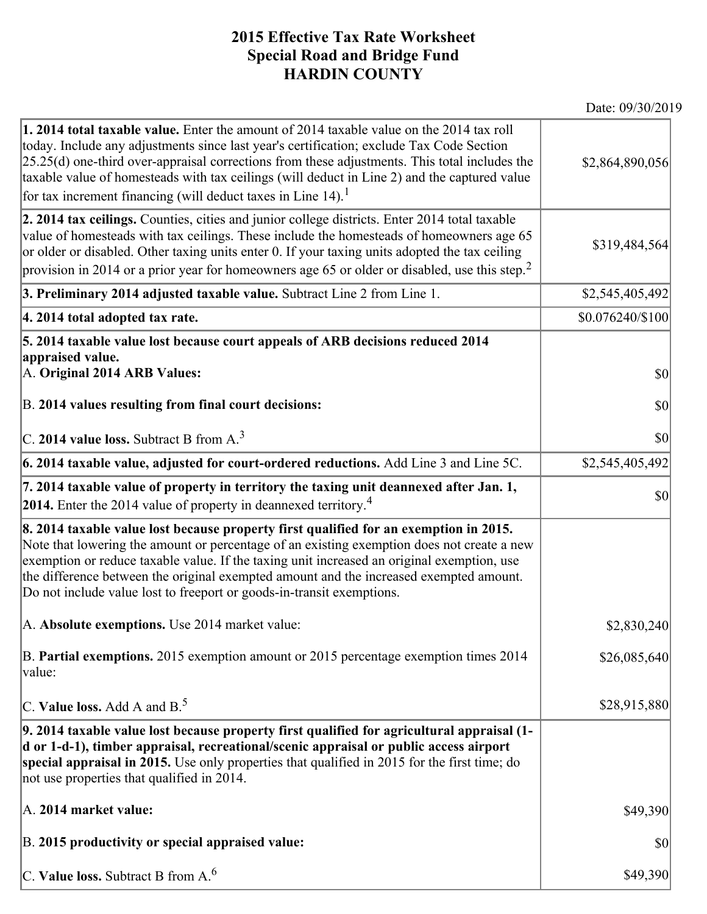## **2015 Effective Tax Rate Worksheet Special Road and Bridge Fund HARDIN COUNTY**

Date: 09/30/2019

| <b>1. 2014 total taxable value.</b> Enter the amount of 2014 taxable value on the 2014 tax roll<br>today. Include any adjustments since last year's certification; exclude Tax Code Section<br>$[25.25(d)$ one-third over-appraisal corrections from these adjustments. This total includes the<br>taxable value of homesteads with tax ceilings (will deduct in Line 2) and the captured value<br>for tax increment financing (will deduct taxes in Line $14$ ). <sup>1</sup> | \$2,864,890,056  |
|--------------------------------------------------------------------------------------------------------------------------------------------------------------------------------------------------------------------------------------------------------------------------------------------------------------------------------------------------------------------------------------------------------------------------------------------------------------------------------|------------------|
| 2. 2014 tax ceilings. Counties, cities and junior college districts. Enter 2014 total taxable<br>value of homesteads with tax ceilings. These include the homesteads of homeowners age 65<br>or older or disabled. Other taxing units enter 0. If your taxing units adopted the tax ceiling<br>provision in 2014 or a prior year for homeowners age 65 or older or disabled, use this step. <sup>2</sup>                                                                       | \$319,484,564    |
| 3. Preliminary 2014 adjusted taxable value. Subtract Line 2 from Line 1.                                                                                                                                                                                                                                                                                                                                                                                                       | \$2,545,405,492  |
| 4. 2014 total adopted tax rate.                                                                                                                                                                                                                                                                                                                                                                                                                                                | \$0.076240/\$100 |
| 5. 2014 taxable value lost because court appeals of ARB decisions reduced 2014<br>appraised value.<br>A. Original 2014 ARB Values:                                                                                                                                                                                                                                                                                                                                             | $ 10\rangle$     |
| B. 2014 values resulting from final court decisions:                                                                                                                                                                                                                                                                                                                                                                                                                           | \$0              |
| C. 2014 value loss. Subtract B from $A3$                                                                                                                                                                                                                                                                                                                                                                                                                                       | \$0              |
| 6. 2014 taxable value, adjusted for court-ordered reductions. Add Line 3 and Line 5C.                                                                                                                                                                                                                                                                                                                                                                                          | \$2,545,405,492  |
| 7. 2014 taxable value of property in territory the taxing unit deannexed after Jan. 1,<br><b>2014.</b> Enter the 2014 value of property in deannexed territory. <sup>4</sup>                                                                                                                                                                                                                                                                                                   | \$0              |
| 8. 2014 taxable value lost because property first qualified for an exemption in 2015.<br>Note that lowering the amount or percentage of an existing exemption does not create a new<br>exemption or reduce taxable value. If the taxing unit increased an original exemption, use<br>the difference between the original exempted amount and the increased exempted amount.<br>Do not include value lost to freeport or goods-in-transit exemptions.                           |                  |
| A. Absolute exemptions. Use 2014 market value:                                                                                                                                                                                                                                                                                                                                                                                                                                 | \$2,830,240      |
| B. Partial exemptions. 2015 exemption amount or 2015 percentage exemption times 2014<br>value:                                                                                                                                                                                                                                                                                                                                                                                 | \$26,085,640     |
| C. Value loss. Add A and $B^5$                                                                                                                                                                                                                                                                                                                                                                                                                                                 | \$28,915,880     |
| 9. 2014 taxable value lost because property first qualified for agricultural appraisal (1-<br>d or 1-d-1), timber appraisal, recreational/scenic appraisal or public access airport<br>special appraisal in 2015. Use only properties that qualified in 2015 for the first time; do<br>not use properties that qualified in 2014.                                                                                                                                              |                  |
| A. 2014 market value:                                                                                                                                                                                                                                                                                                                                                                                                                                                          | \$49,390         |
| B. 2015 productivity or special appraised value:                                                                                                                                                                                                                                                                                                                                                                                                                               | \$0              |
| C. Value loss. Subtract B from $A6$                                                                                                                                                                                                                                                                                                                                                                                                                                            | \$49,390         |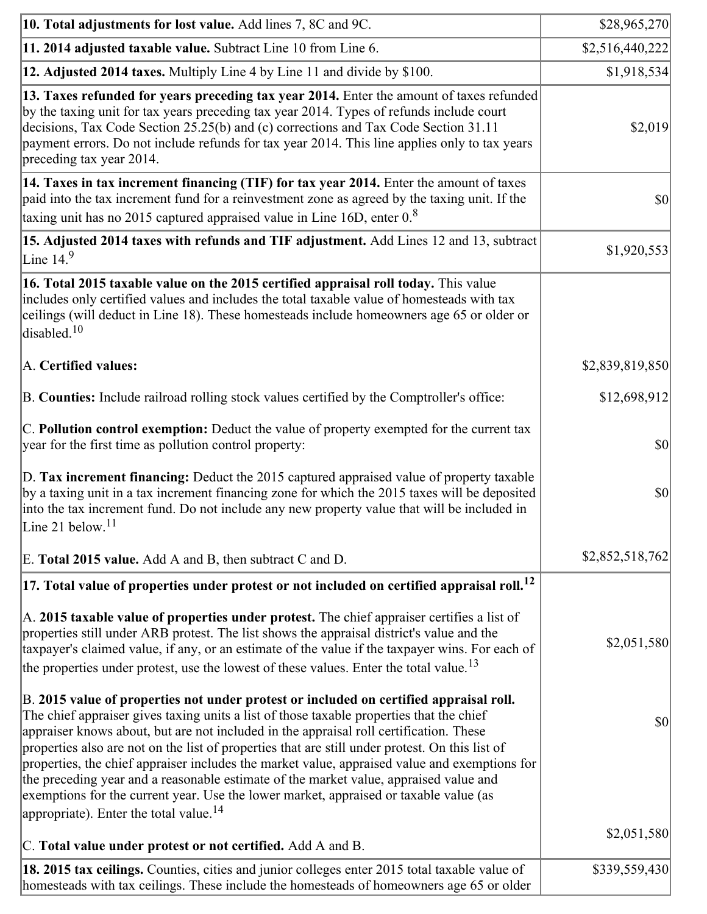| 10. Total adjustments for lost value. Add lines 7, 8C and 9C.                                                                                                                                                                                                                                                                                                                                                                                                                                                                                                                                                                                                                                                            | \$28,965,270                        |
|--------------------------------------------------------------------------------------------------------------------------------------------------------------------------------------------------------------------------------------------------------------------------------------------------------------------------------------------------------------------------------------------------------------------------------------------------------------------------------------------------------------------------------------------------------------------------------------------------------------------------------------------------------------------------------------------------------------------------|-------------------------------------|
| 11. 2014 adjusted taxable value. Subtract Line 10 from Line 6.                                                                                                                                                                                                                                                                                                                                                                                                                                                                                                                                                                                                                                                           | \$2,516,440,222]                    |
| <b>12. Adjusted 2014 taxes.</b> Multiply Line 4 by Line 11 and divide by \$100.                                                                                                                                                                                                                                                                                                                                                                                                                                                                                                                                                                                                                                          | \$1,918,534                         |
| [13. Taxes refunded for years preceding tax year 2014. Enter the amount of taxes refunded]<br>by the taxing unit for tax years preceding tax year 2014. Types of refunds include court<br>decisions, Tax Code Section 25.25(b) and (c) corrections and Tax Code Section 31.11<br>payment errors. Do not include refunds for tax year 2014. This line applies only to tax years<br>preceding tax year 2014.                                                                                                                                                                                                                                                                                                               | \$2,019                             |
| 14. Taxes in tax increment financing (TIF) for tax year 2014. Enter the amount of taxes<br>paid into the tax increment fund for a reinvestment zone as agreed by the taxing unit. If the<br>taxing unit has no 2015 captured appraised value in Line 16D, enter 0.8                                                                                                                                                                                                                                                                                                                                                                                                                                                      | $\vert \mathbf{S} \mathbf{O} \vert$ |
| <b>15. Adjusted 2014 taxes with refunds and TIF adjustment.</b> Add Lines 12 and 13, subtract<br>Line $149$                                                                                                                                                                                                                                                                                                                                                                                                                                                                                                                                                                                                              | \$1,920,553                         |
| 16. Total 2015 taxable value on the 2015 certified appraisal roll today. This value<br>includes only certified values and includes the total taxable value of homesteads with tax<br>ceilings (will deduct in Line 18). These homesteads include homeowners age 65 or older or<br>disabled. <sup>10</sup>                                                                                                                                                                                                                                                                                                                                                                                                                |                                     |
| A. Certified values:                                                                                                                                                                                                                                                                                                                                                                                                                                                                                                                                                                                                                                                                                                     | \$2,839,819,850                     |
| B. Counties: Include railroad rolling stock values certified by the Comptroller's office:                                                                                                                                                                                                                                                                                                                                                                                                                                                                                                                                                                                                                                | \$12,698,912                        |
| C. Pollution control exemption: Deduct the value of property exempted for the current tax<br>year for the first time as pollution control property:                                                                                                                                                                                                                                                                                                                                                                                                                                                                                                                                                                      | $ 10\rangle$                        |
| D. Tax increment financing: Deduct the 2015 captured appraised value of property taxable<br>by a taxing unit in a tax increment financing zone for which the 2015 taxes will be deposited<br>into the tax increment fund. Do not include any new property value that will be included in<br>Line 21 below. $11$                                                                                                                                                                                                                                                                                                                                                                                                          | \$0                                 |
| E. Total 2015 value. Add A and B, then subtract C and D.                                                                                                                                                                                                                                                                                                                                                                                                                                                                                                                                                                                                                                                                 | \$2,852,518,762                     |
| $ 17$ . Total value of properties under protest or not included on certified appraisal roll. <sup>12</sup>                                                                                                                                                                                                                                                                                                                                                                                                                                                                                                                                                                                                               |                                     |
| A. 2015 taxable value of properties under protest. The chief appraiser certifies a list of<br>properties still under ARB protest. The list shows the appraisal district's value and the<br>taxpayer's claimed value, if any, or an estimate of the value if the taxpayer wins. For each of<br>the properties under protest, use the lowest of these values. Enter the total value. <sup>13</sup>                                                                                                                                                                                                                                                                                                                         | \$2,051,580                         |
| B. 2015 value of properties not under protest or included on certified appraisal roll.<br>The chief appraiser gives taxing units a list of those taxable properties that the chief<br>appraiser knows about, but are not included in the appraisal roll certification. These<br>properties also are not on the list of properties that are still under protest. On this list of<br>properties, the chief appraiser includes the market value, appraised value and exemptions for<br>the preceding year and a reasonable estimate of the market value, appraised value and<br>exemptions for the current year. Use the lower market, appraised or taxable value (as<br>appropriate). Enter the total value. <sup>14</sup> | $ 10\rangle$                        |
| C. Total value under protest or not certified. Add A and B.                                                                                                                                                                                                                                                                                                                                                                                                                                                                                                                                                                                                                                                              | \$2,051,580                         |
| 18. 2015 tax ceilings. Counties, cities and junior colleges enter 2015 total taxable value of<br>homesteads with tax ceilings. These include the homesteads of homeowners age 65 or older                                                                                                                                                                                                                                                                                                                                                                                                                                                                                                                                | \$339,559,430                       |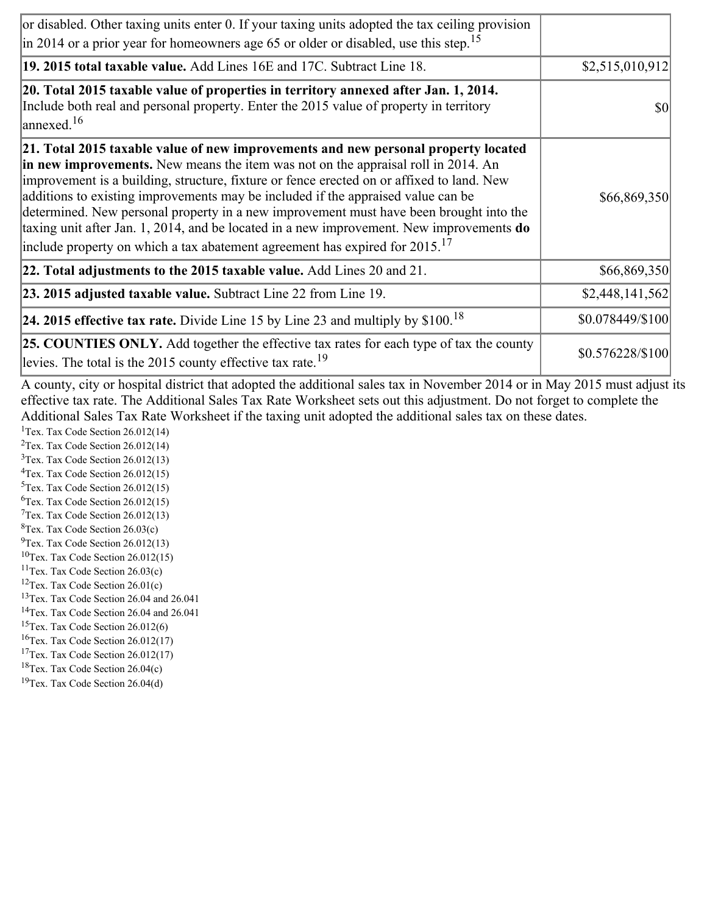| or disabled. Other taxing units enter 0. If your taxing units adopted the tax ceiling provision<br>$\vert$ in 2014 or a prior year for homeowners age 65 or older or disabled, use this step. <sup>15</sup>                                                                                                                                                                                                                                                                                                                                                                                                                                         |                  |
|-----------------------------------------------------------------------------------------------------------------------------------------------------------------------------------------------------------------------------------------------------------------------------------------------------------------------------------------------------------------------------------------------------------------------------------------------------------------------------------------------------------------------------------------------------------------------------------------------------------------------------------------------------|------------------|
| 19. 2015 total taxable value. Add Lines 16E and 17C. Subtract Line 18.                                                                                                                                                                                                                                                                                                                                                                                                                                                                                                                                                                              | \$2,515,010,912  |
| 20. Total 2015 taxable value of properties in territory annexed after Jan. 1, 2014.<br>Include both real and personal property. Enter the 2015 value of property in territory<br>$\frac{16}{2}$                                                                                                                                                                                                                                                                                                                                                                                                                                                     | <b>\$0</b>       |
| 21. Total 2015 taxable value of new improvements and new personal property located<br>in new improvements. New means the item was not on the appraisal roll in 2014. An<br>improvement is a building, structure, fixture or fence erected on or affixed to land. New<br>additions to existing improvements may be included if the appraised value can be<br>determined. New personal property in a new improvement must have been brought into the<br>taxing unit after Jan. 1, 2014, and be located in a new improvement. New improvements <b>do</b><br>include property on which a tax abatement agreement has expired for $2015$ . <sup>17</sup> | \$66,869,350     |
| 22. Total adjustments to the 2015 taxable value. Add Lines 20 and 21.                                                                                                                                                                                                                                                                                                                                                                                                                                                                                                                                                                               | \$66,869,350     |
| <b>23. 2015 adjusted taxable value.</b> Subtract Line 22 from Line 19.                                                                                                                                                                                                                                                                                                                                                                                                                                                                                                                                                                              | \$2,448,141,562  |
| <b>24. 2015 effective tax rate.</b> Divide Line 15 by Line 23 and multiply by $$100$ . <sup>18</sup>                                                                                                                                                                                                                                                                                                                                                                                                                                                                                                                                                | \$0.078449/\$100 |
| <b>25. COUNTIES ONLY.</b> Add together the effective tax rates for each type of tax the county<br>levies. The total is the 2015 county effective tax rate. <sup>19</sup>                                                                                                                                                                                                                                                                                                                                                                                                                                                                            | \$0.576228/\$100 |

A county, city or hospital district that adopted the additional sales tax in November 2014 or in May 2015 must adjust its effective tax rate. The Additional Sales Tax Rate Worksheet sets out this adjustment. Do not forget to complete the Additional Sales Tax Rate Worksheet if the taxing unit adopted the additional sales tax on these dates.

<sup>1</sup>Tex. Tax Code Section  $26.012(14)$ <sup>2</sup>Tex. Tax Code Section  $26.012(14)$  $3$ Tex. Tax Code Section 26.012(13)  ${}^{4}$ Tex. Tax Code Section 26.012(15)  $5$ Tex. Tax Code Section 26.012(15) <sup>6</sup>Tex. Tax Code Section 26.012(15)  $7$ Tex. Tax Code Section 26.012(13)  ${}^{8}$ Tex. Tax Code Section 26.03(c)  $^{9}$ Tex. Tax Code Section 26.012(13)

- $10$ Tex. Tax Code Section 26.012(15)
- <sup>11</sup>Tex. Tax Code Section  $26.03(c)$
- <sup>12</sup>Tex. Tax Code Section  $26.01(c)$
- <sup>13</sup>Tex. Tax Code Section 26.04 and 26.041
- <sup>14</sup>Tex. Tax Code Section 26.04 and 26.041
- $15$ Tex. Tax Code Section 26.012(6)
- <sup>16</sup>Tex. Tax Code Section  $26.012(17)$
- <sup>17</sup>Tex. Tax Code Section  $26.012(17)$
- ${}^{18}$ Tex. Tax Code Section 26.04(c)
- <sup>19</sup>Tex. Tax Code Section 26.04(d)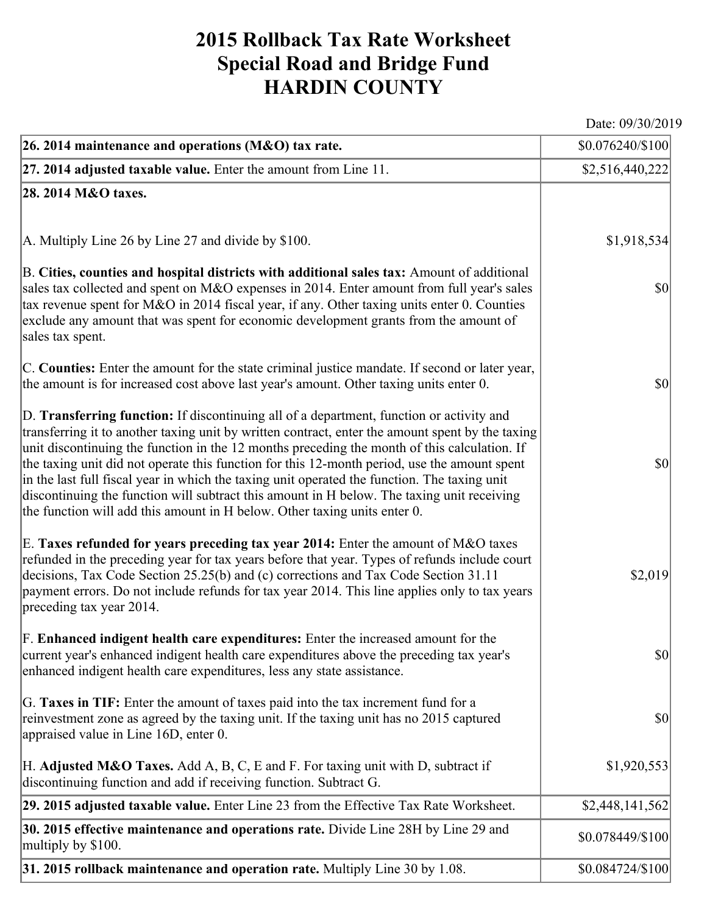## **2015 Rollback Tax Rate Worksheet Special Road and Bridge Fund HARDIN COUNTY**

Date: 09/30/2019

| $ 26.2014$ maintenance and operations (M&O) tax rate.                                                                                                                                                                                                                                                                                                                                                                                                                                                                                                                                                                                                                   | $$0.076240/\$100$                   |
|-------------------------------------------------------------------------------------------------------------------------------------------------------------------------------------------------------------------------------------------------------------------------------------------------------------------------------------------------------------------------------------------------------------------------------------------------------------------------------------------------------------------------------------------------------------------------------------------------------------------------------------------------------------------------|-------------------------------------|
| $ 27.2014$ adjusted taxable value. Enter the amount from Line 11.                                                                                                                                                                                                                                                                                                                                                                                                                                                                                                                                                                                                       | \$2,516,440,222]                    |
| 28. 2014 M&O taxes.                                                                                                                                                                                                                                                                                                                                                                                                                                                                                                                                                                                                                                                     |                                     |
|                                                                                                                                                                                                                                                                                                                                                                                                                                                                                                                                                                                                                                                                         |                                     |
| A. Multiply Line 26 by Line 27 and divide by $$100$ .                                                                                                                                                                                                                                                                                                                                                                                                                                                                                                                                                                                                                   | \$1,918,534                         |
| B. Cities, counties and hospital districts with additional sales tax: Amount of additional<br>sales tax collected and spent on M&O expenses in 2014. Enter amount from full year's sales<br>tax revenue spent for M&O in 2014 fiscal year, if any. Other taxing units enter 0. Counties<br>exclude any amount that was spent for economic development grants from the amount of<br>sales tax spent.                                                                                                                                                                                                                                                                     | $ 10\rangle$                        |
| C. Counties: Enter the amount for the state criminal justice mandate. If second or later year,<br>the amount is for increased cost above last year's amount. Other taxing units enter 0.                                                                                                                                                                                                                                                                                                                                                                                                                                                                                | $ 10\rangle$                        |
| D. Transferring function: If discontinuing all of a department, function or activity and<br>transferring it to another taxing unit by written contract, enter the amount spent by the taxing<br>unit discontinuing the function in the 12 months preceding the month of this calculation. If<br>the taxing unit did not operate this function for this 12-month period, use the amount spent<br>in the last full fiscal year in which the taxing unit operated the function. The taxing unit<br>discontinuing the function will subtract this amount in H below. The taxing unit receiving<br>the function will add this amount in H below. Other taxing units enter 0. | $ 10\rangle$                        |
| E. Taxes refunded for years preceding tax year 2014: Enter the amount of M&O taxes<br>refunded in the preceding year for tax years before that year. Types of refunds include court<br>decisions, Tax Code Section 25.25(b) and (c) corrections and Tax Code Section 31.11<br>payment errors. Do not include refunds for tax year 2014. This line applies only to tax years<br>preceding tax year 2014.                                                                                                                                                                                                                                                                 | \$2,019                             |
| F. Enhanced indigent health care expenditures: Enter the increased amount for the<br>current year's enhanced indigent health care expenditures above the preceding tax year's<br>enhanced indigent health care expenditures, less any state assistance.                                                                                                                                                                                                                                                                                                                                                                                                                 | $\vert \mathbf{S} \mathbf{0} \vert$ |
| G. Taxes in TIF: Enter the amount of taxes paid into the tax increment fund for a<br>reinvestment zone as agreed by the taxing unit. If the taxing unit has no 2015 captured<br>appraised value in Line 16D, enter 0.                                                                                                                                                                                                                                                                                                                                                                                                                                                   | $ 10\rangle$                        |
| H. Adjusted M&O Taxes. Add A, B, C, E and F. For taxing unit with D, subtract if<br>discontinuing function and add if receiving function. Subtract G.                                                                                                                                                                                                                                                                                                                                                                                                                                                                                                                   | \$1,920,553                         |
| 29. 2015 adjusted taxable value. Enter Line 23 from the Effective Tax Rate Worksheet.                                                                                                                                                                                                                                                                                                                                                                                                                                                                                                                                                                                   | \$2,448,141,562                     |
| 30. 2015 effective maintenance and operations rate. Divide Line 28H by Line 29 and<br>multiply by \$100.                                                                                                                                                                                                                                                                                                                                                                                                                                                                                                                                                                | \$0.078449/\$100                    |
| 31. 2015 rollback maintenance and operation rate. Multiply Line 30 by 1.08.                                                                                                                                                                                                                                                                                                                                                                                                                                                                                                                                                                                             | \$0.084724/\$100                    |